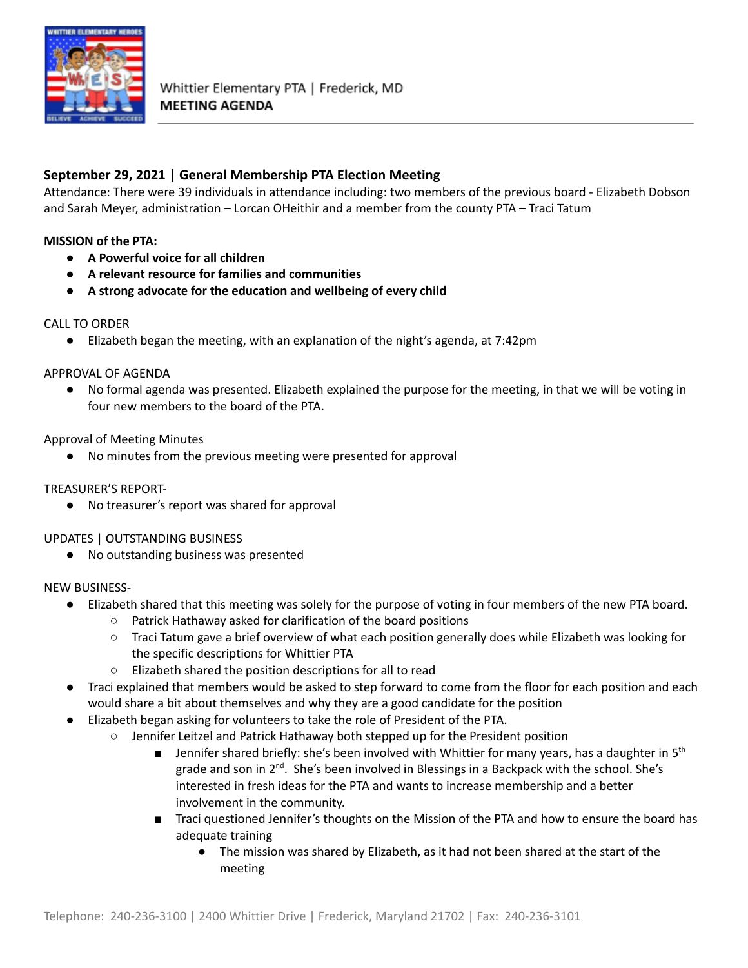

## **September 29, 2021 | General Membership PTA Election Meeting**

Attendance: There were 39 individuals in attendance including: two members of the previous board - Elizabeth Dobson and Sarah Meyer, administration – Lorcan OHeithir and a member from the county PTA – Traci Tatum

### **MISSION of the PTA:**

- **● A Powerful voice for all children**
- **● A relevant resource for families and communities**
- **● A strong advocate for the education and wellbeing of every child**

#### CALL TO ORDER

● Elizabeth began the meeting, with an explanation of the night's agenda, at 7:42pm

#### APPROVAL OF AGENDA

● No formal agenda was presented. Elizabeth explained the purpose for the meeting, in that we will be voting in four new members to the board of the PTA.

#### Approval of Meeting Minutes

● No minutes from the previous meeting were presented for approval

#### TREASURER'S REPORT-

● No treasurer's report was shared for approval

#### UPDATES | OUTSTANDING BUSINESS

● No outstanding business was presented

#### NEW BUSINESS-

- Elizabeth shared that this meeting was solely for the purpose of voting in four members of the new PTA board.
	- Patrick Hathaway asked for clarification of the board positions
	- Traci Tatum gave a brief overview of what each position generally does while Elizabeth was looking for the specific descriptions for Whittier PTA
	- Elizabeth shared the position descriptions for all to read
- Traci explained that members would be asked to step forward to come from the floor for each position and each would share a bit about themselves and why they are a good candidate for the position
- Elizabeth began asking for volunteers to take the role of President of the PTA.
	- Jennifer Leitzel and Patrick Hathaway both stepped up for the President position
		- **■** Jennifer shared briefly: she's been involved with Whittier for many years, has a daughter in 5<sup>th</sup> grade and son in 2<sup>nd</sup>. She's been involved in Blessings in a Backpack with the school. She's interested in fresh ideas for the PTA and wants to increase membership and a better involvement in the community.
		- Traci questioned Jennifer's thoughts on the Mission of the PTA and how to ensure the board has adequate training
			- The mission was shared by Elizabeth, as it had not been shared at the start of the meeting